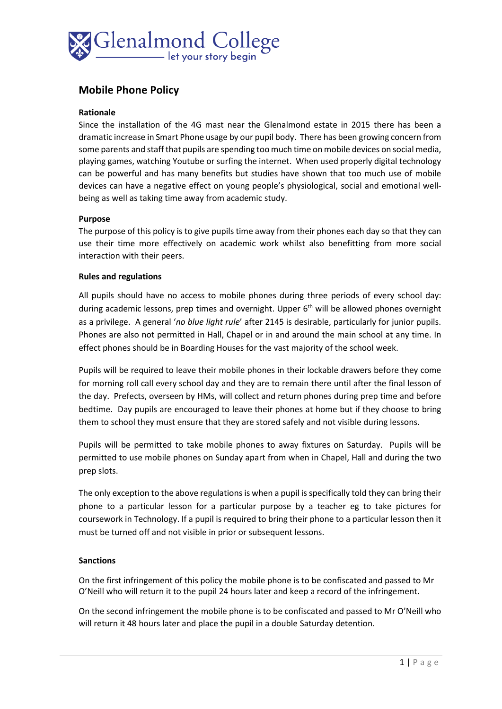

# **Mobile Phone Policy**

#### **Rationale**

Since the installation of the 4G mast near the Glenalmond estate in 2015 there has been a dramatic increase in Smart Phone usage by our pupil body. There has been growing concern from some parents and staff that pupils are spending too much time on mobile devices on social media, playing games, watching Youtube or surfing the internet. When used properly digital technology can be powerful and has many benefits but studies have shown that too much use of mobile devices can have a negative effect on young people's physiological, social and emotional wellbeing as well as taking time away from academic study.

### **Purpose**

The purpose of this policy is to give pupils time away from their phones each day so that they can use their time more effectively on academic work whilst also benefitting from more social interaction with their peers.

### **Rules and regulations**

All pupils should have no access to mobile phones during three periods of every school day: during academic lessons, prep times and overnight. Upper  $6<sup>th</sup>$  will be allowed phones overnight as a privilege. A general '*no blue light rule*' after 2145 is desirable, particularly for junior pupils. Phones are also not permitted in Hall, Chapel or in and around the main school at any time. In effect phones should be in Boarding Houses for the vast majority of the school week.

Pupils will be required to leave their mobile phones in their lockable drawers before they come for morning roll call every school day and they are to remain there until after the final lesson of the day. Prefects, overseen by HMs, will collect and return phones during prep time and before bedtime. Day pupils are encouraged to leave their phones at home but if they choose to bring them to school they must ensure that they are stored safely and not visible during lessons.

Pupils will be permitted to take mobile phones to away fixtures on Saturday. Pupils will be permitted to use mobile phones on Sunday apart from when in Chapel, Hall and during the two prep slots.

The only exception to the above regulations is when a pupil is specifically told they can bring their phone to a particular lesson for a particular purpose by a teacher eg to take pictures for coursework in Technology. If a pupil is required to bring their phone to a particular lesson then it must be turned off and not visible in prior or subsequent lessons.

## **Sanctions**

On the first infringement of this policy the mobile phone is to be confiscated and passed to Mr O'Neill who will return it to the pupil 24 hours later and keep a record of the infringement.

On the second infringement the mobile phone is to be confiscated and passed to Mr O'Neill who will return it 48 hours later and place the pupil in a double Saturday detention.